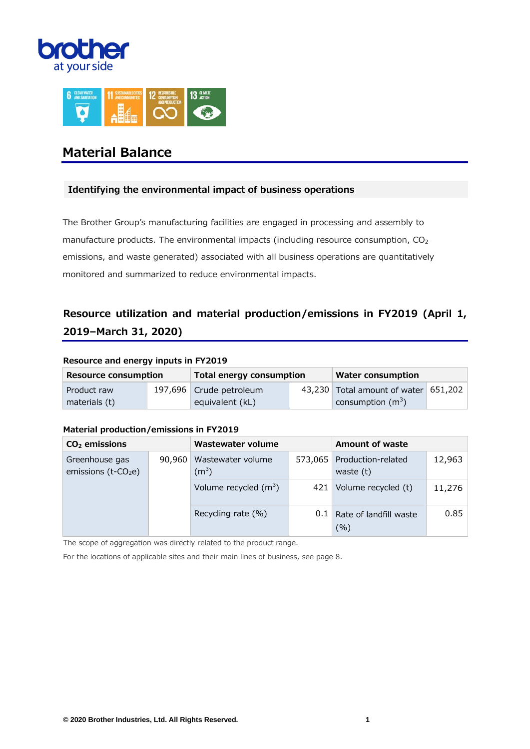



# **Material Balance**

## **Identifying the environmental impact of business operations**

The Brother Group's manufacturing facilities are engaged in processing and assembly to manufacture products. The environmental impacts (including resource consumption,  $CO<sub>2</sub>$ emissions, and waste generated) associated with all business operations are quantitatively monitored and summarized to reduce environmental impacts.

# **Resource utilization and material production/emissions in FY2019 (April 1, 2019–March 31, 2020)**

### **Resource and energy inputs in FY2019**

| <b>Resource consumption</b> | <b>Total energy consumption</b> | <b>Water consumption</b>             |  |  |
|-----------------------------|---------------------------------|--------------------------------------|--|--|
| Product raw                 | 197,696 Crude petroleum         | 43,230 Total amount of water 651,202 |  |  |
| materials (t)               | equivalent (kL)                 | consumption $(m^3)$                  |  |  |

### **Material production/emissions in FY2019**

| $CO2$ emissions                                   |        | Wastewater volume            |         | <b>Amount of waste</b>            |        |
|---------------------------------------------------|--------|------------------------------|---------|-----------------------------------|--------|
| Greenhouse gas<br>emissions (t-CO <sub>2</sub> e) | 90,960 | Wastewater volume<br>$(m^3)$ | 573.065 | Production-related<br>waste $(t)$ | 12,963 |
|                                                   |        | Volume recycled $(m^3)$      | 421     | Volume recycled (t)               | 11,276 |
|                                                   |        | Recycling rate (%)           | $0.1$   | Rate of landfill waste<br>(%)     | 0.85   |

The scope of aggregation was directly related to the product range.

For the locations of applicable sites and their main lines of business, see page 8.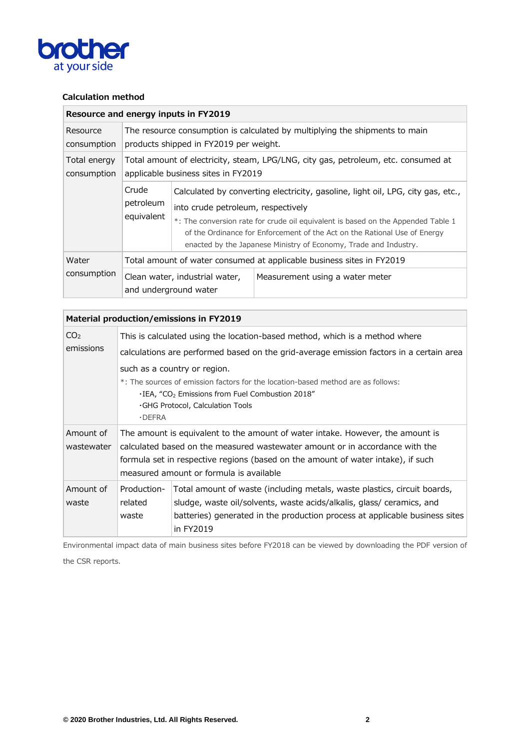

# **Calculation method**

|                             | Resource and energy inputs in FY2019                                                                                      |                                                                                                                                                                                                                                                                                                                                                            |                                 |  |  |  |
|-----------------------------|---------------------------------------------------------------------------------------------------------------------------|------------------------------------------------------------------------------------------------------------------------------------------------------------------------------------------------------------------------------------------------------------------------------------------------------------------------------------------------------------|---------------------------------|--|--|--|
| Resource<br>consumption     | The resource consumption is calculated by multiplying the shipments to main<br>products shipped in FY2019 per weight.     |                                                                                                                                                                                                                                                                                                                                                            |                                 |  |  |  |
| Total energy<br>consumption | Total amount of electricity, steam, LPG/LNG, city gas, petroleum, etc. consumed at<br>applicable business sites in FY2019 |                                                                                                                                                                                                                                                                                                                                                            |                                 |  |  |  |
|                             | Crude<br>petroleum<br>equivalent                                                                                          | Calculated by converting electricity, gasoline, light oil, LPG, city gas, etc.,<br>into crude petroleum, respectively<br>*: The conversion rate for crude oil equivalent is based on the Appended Table 1<br>of the Ordinance for Enforcement of the Act on the Rational Use of Energy<br>enacted by the Japanese Ministry of Economy, Trade and Industry. |                                 |  |  |  |
| Water                       | Total amount of water consumed at applicable business sites in FY2019                                                     |                                                                                                                                                                                                                                                                                                                                                            |                                 |  |  |  |
| consumption                 | Clean water, industrial water,<br>and underground water                                                                   |                                                                                                                                                                                                                                                                                                                                                            | Measurement using a water meter |  |  |  |

|                              |                                                                                                                                                                                                                                                                                            | Material production/emissions in FY2019                                                                                                                                                                                                                                                       |  |  |  |  |  |
|------------------------------|--------------------------------------------------------------------------------------------------------------------------------------------------------------------------------------------------------------------------------------------------------------------------------------------|-----------------------------------------------------------------------------------------------------------------------------------------------------------------------------------------------------------------------------------------------------------------------------------------------|--|--|--|--|--|
| CO <sub>2</sub><br>emissions | This is calculated using the location-based method, which is a method where<br>calculations are performed based on the grid-average emission factors in a certain area<br>such as a country or region.<br>*: The sources of emission factors for the location-based method are as follows: |                                                                                                                                                                                                                                                                                               |  |  |  |  |  |
|                              | $\cdot$ DEFRA                                                                                                                                                                                                                                                                              | $\cdot$ IEA, "CO <sub>2</sub> Emissions from Fuel Combustion 2018"<br>GHG Protocol, Calculation Tools                                                                                                                                                                                         |  |  |  |  |  |
| Amount of<br>wastewater      |                                                                                                                                                                                                                                                                                            | The amount is equivalent to the amount of water intake. However, the amount is<br>calculated based on the measured wastewater amount or in accordance with the<br>formula set in respective regions (based on the amount of water intake), if such<br>measured amount or formula is available |  |  |  |  |  |
| Amount of<br>waste           | Production-<br>related<br>waste                                                                                                                                                                                                                                                            | Total amount of waste (including metals, waste plastics, circuit boards,<br>sludge, waste oil/solvents, waste acids/alkalis, glass/ ceramics, and<br>batteries) generated in the production process at applicable business sites<br>in FY2019                                                 |  |  |  |  |  |

Environmental impact data of main business sites before FY2018 can be viewed by downloading the PDF version of the CSR reports.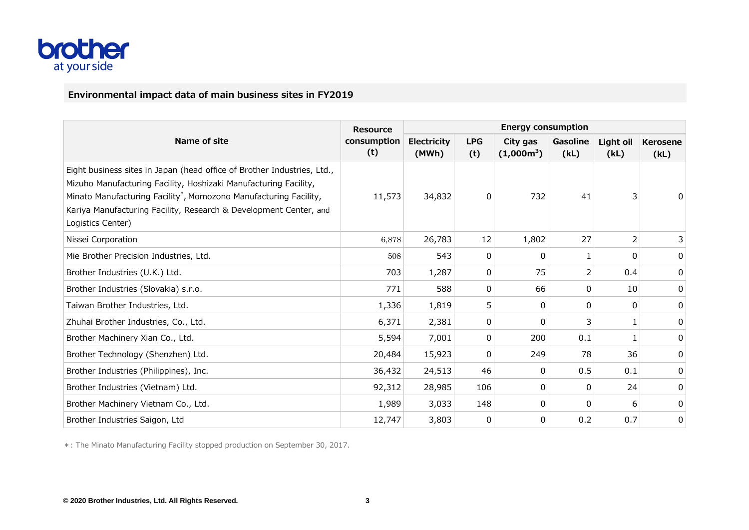

# **Environmental impact data of main business sites in FY2019**

|                                                                                                                                                                                                                                                                                                                        | <b>Resource</b>    | <b>Energy consumption</b>   |                   |                          |                  |                   |                  |  |
|------------------------------------------------------------------------------------------------------------------------------------------------------------------------------------------------------------------------------------------------------------------------------------------------------------------------|--------------------|-----------------------------|-------------------|--------------------------|------------------|-------------------|------------------|--|
| Name of site                                                                                                                                                                                                                                                                                                           | consumption<br>(t) | <b>Electricity</b><br>(MWh) | <b>LPG</b><br>(t) | City gas<br>$(1,000m^3)$ | Gasoline<br>(kL) | Light oil<br>(kL) | Kerosene<br>(kL) |  |
| Eight business sites in Japan (head office of Brother Industries, Ltd.,<br>Mizuho Manufacturing Facility, Hoshizaki Manufacturing Facility,<br>Minato Manufacturing Facility <sup>*</sup> , Momozono Manufacturing Facility,<br>Kariya Manufacturing Facility, Research & Development Center, and<br>Logistics Center) | 11,573             | 34,832                      | 0                 | 732                      | 41               | 3                 |                  |  |
| Nissei Corporation                                                                                                                                                                                                                                                                                                     | 6,878              | 26,783                      | 12                | 1,802                    | 27               | 2                 | 3                |  |
| Mie Brother Precision Industries, Ltd.                                                                                                                                                                                                                                                                                 | 508                | 543                         | 0                 | $\Omega$                 | 1                | 0                 | 0                |  |
| Brother Industries (U.K.) Ltd.                                                                                                                                                                                                                                                                                         | 703                | 1,287                       | 0                 | 75                       | 2                | 0.4               | 0                |  |
| Brother Industries (Slovakia) s.r.o.                                                                                                                                                                                                                                                                                   | 771                | 588                         | $\Omega$          | 66                       | 0                | 10                | 0                |  |
| Taiwan Brother Industries, Ltd.                                                                                                                                                                                                                                                                                        | 1,336              | 1,819                       | 5                 | 0                        | 0                | 0                 | 0                |  |
| Zhuhai Brother Industries, Co., Ltd.                                                                                                                                                                                                                                                                                   | 6,371              | 2,381                       | 0                 | $\Omega$                 | 3                | 1                 | 0                |  |
| Brother Machinery Xian Co., Ltd.                                                                                                                                                                                                                                                                                       | 5,594              | 7,001                       | 0                 | 200                      | 0.1              | 1                 | 0                |  |
| Brother Technology (Shenzhen) Ltd.                                                                                                                                                                                                                                                                                     | 20,484             | 15,923                      | 0                 | 249                      | 78               | 36                | 0                |  |
| Brother Industries (Philippines), Inc.                                                                                                                                                                                                                                                                                 | 36,432             | 24,513                      | 46                | $\Omega$                 | 0.5              | 0.1               | 0                |  |
| Brother Industries (Vietnam) Ltd.                                                                                                                                                                                                                                                                                      | 92,312             | 28,985                      | 106               | 0                        | 0                | 24                | 0                |  |
| Brother Machinery Vietnam Co., Ltd.                                                                                                                                                                                                                                                                                    | 1,989              | 3,033                       | 148               | 0                        | 0                | 6                 | 0                |  |
| Brother Industries Saigon, Ltd                                                                                                                                                                                                                                                                                         | 12,747             | 3,803                       | 0                 | 0                        | 0.2              | 0.7               | 0                |  |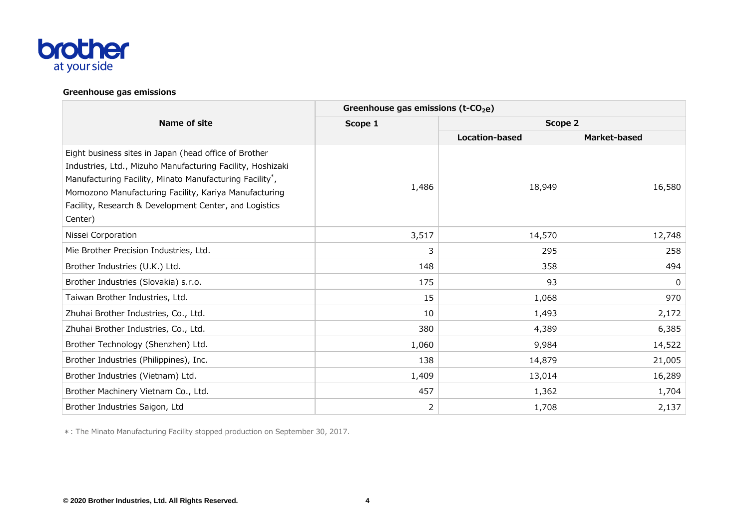

### **Greenhouse gas emissions**

|                                                                                                                                                                                                                                                                                                                           | Greenhouse gas emissions ( $t$ -CO <sub>2</sub> e) |                |              |  |  |  |
|---------------------------------------------------------------------------------------------------------------------------------------------------------------------------------------------------------------------------------------------------------------------------------------------------------------------------|----------------------------------------------------|----------------|--------------|--|--|--|
| Name of site                                                                                                                                                                                                                                                                                                              | Scope 1                                            | Scope 2        |              |  |  |  |
|                                                                                                                                                                                                                                                                                                                           |                                                    | Location-based | Market-based |  |  |  |
| Eight business sites in Japan (head office of Brother<br>Industries, Ltd., Mizuho Manufacturing Facility, Hoshizaki<br>Manufacturing Facility, Minato Manufacturing Facility <sup>*</sup> ,<br>Momozono Manufacturing Facility, Kariya Manufacturing<br>Facility, Research & Development Center, and Logistics<br>Center) | 1,486                                              | 18,949         | 16,580       |  |  |  |
| Nissei Corporation                                                                                                                                                                                                                                                                                                        | 3,517                                              | 14,570         | 12,748       |  |  |  |
| Mie Brother Precision Industries, Ltd.                                                                                                                                                                                                                                                                                    | 3                                                  | 295            | 258          |  |  |  |
| Brother Industries (U.K.) Ltd.                                                                                                                                                                                                                                                                                            | 148                                                | 358            | 494          |  |  |  |
| Brother Industries (Slovakia) s.r.o.                                                                                                                                                                                                                                                                                      | 175                                                | 93             | 0            |  |  |  |
| Taiwan Brother Industries, Ltd.                                                                                                                                                                                                                                                                                           | 15                                                 | 1,068          | 970          |  |  |  |
| Zhuhai Brother Industries, Co., Ltd.                                                                                                                                                                                                                                                                                      | 10                                                 | 1,493          | 2,172        |  |  |  |
| Zhuhai Brother Industries, Co., Ltd.                                                                                                                                                                                                                                                                                      | 380                                                | 4,389          | 6,385        |  |  |  |
| Brother Technology (Shenzhen) Ltd.                                                                                                                                                                                                                                                                                        | 1,060                                              | 9,984          | 14,522       |  |  |  |
| Brother Industries (Philippines), Inc.                                                                                                                                                                                                                                                                                    | 138                                                | 14,879         | 21,005       |  |  |  |
| Brother Industries (Vietnam) Ltd.                                                                                                                                                                                                                                                                                         | 1,409                                              | 13,014         | 16,289       |  |  |  |
| Brother Machinery Vietnam Co., Ltd.                                                                                                                                                                                                                                                                                       | 457                                                | 1,362          | 1,704        |  |  |  |
| Brother Industries Saigon, Ltd                                                                                                                                                                                                                                                                                            | 2                                                  | 1,708          | 2,137        |  |  |  |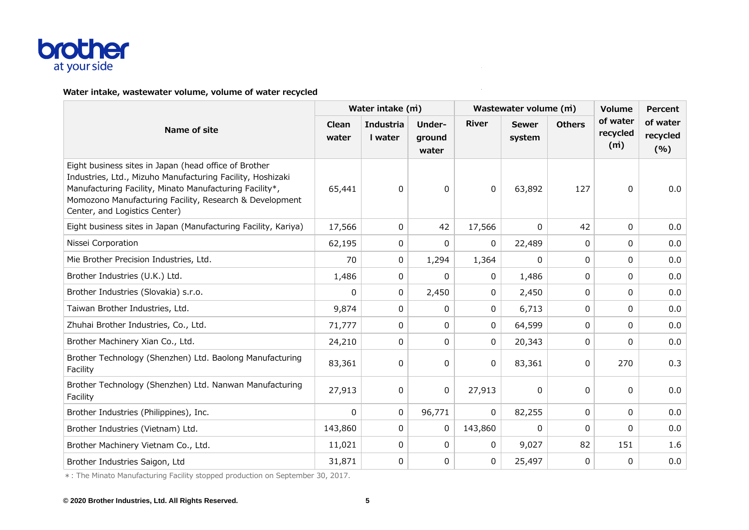

## **Water intake, wastewater volume, volume of water recycled**

|                                                                                                                                                                                                                                                                            | Water intake (m) |                             |                           |              | Wastewater volume (m)  | <b>Volume</b> | <b>Percent</b>              |                             |
|----------------------------------------------------------------------------------------------------------------------------------------------------------------------------------------------------------------------------------------------------------------------------|------------------|-----------------------------|---------------------------|--------------|------------------------|---------------|-----------------------------|-----------------------------|
| Name of site                                                                                                                                                                                                                                                               | Clean<br>water   | <b>Industria</b><br>I water | Under-<br>ground<br>water | <b>River</b> | <b>Sewer</b><br>system | <b>Others</b> | of water<br>recycled<br>(m) | of water<br>recycled<br>(%) |
| Eight business sites in Japan (head office of Brother<br>Industries, Ltd., Mizuho Manufacturing Facility, Hoshizaki<br>Manufacturing Facility, Minato Manufacturing Facility*,<br>Momozono Manufacturing Facility, Research & Development<br>Center, and Logistics Center) | 65,441           | $\mathbf 0$                 | 0                         | 0            | 63,892                 | 127           | 0                           | 0.0                         |
| Eight business sites in Japan (Manufacturing Facility, Kariya)                                                                                                                                                                                                             | 17,566           | 0                           | 42                        | 17,566       | 0                      | 42            | $\Omega$                    | 0.0                         |
| Nissei Corporation                                                                                                                                                                                                                                                         | 62,195           | 0                           | 0                         | $\mathbf{0}$ | 22,489                 | $\Omega$      | 0                           | 0.0                         |
| Mie Brother Precision Industries, Ltd.                                                                                                                                                                                                                                     | 70               | 0                           | 1,294                     | 1,364        | 0                      | $\Omega$      | 0                           | 0.0                         |
| Brother Industries (U.K.) Ltd.                                                                                                                                                                                                                                             | 1,486            | 0                           | 0                         | 0            | 1,486                  | $\Omega$      | 0                           | 0.0                         |
| Brother Industries (Slovakia) s.r.o.                                                                                                                                                                                                                                       | $\Omega$         | 0                           | 2,450                     | 0            | 2,450                  | $\Omega$      | 0                           | 0.0                         |
| Taiwan Brother Industries, Ltd.                                                                                                                                                                                                                                            | 9,874            | 0                           | 0                         | 0            | 6,713                  | 0             | 0                           | 0.0                         |
| Zhuhai Brother Industries, Co., Ltd.                                                                                                                                                                                                                                       | 71,777           | 0                           | 0                         | 0            | 64,599                 | $\Omega$      | 0                           | 0.0                         |
| Brother Machinery Xian Co., Ltd.                                                                                                                                                                                                                                           | 24,210           | 0                           | 0                         | $\mathbf{0}$ | 20,343                 | $\Omega$      | 0                           | 0.0                         |
| Brother Technology (Shenzhen) Ltd. Baolong Manufacturing<br>Facility                                                                                                                                                                                                       | 83,361           | $\pmb{0}$                   | 0                         | 0            | 83,361                 | 0             | 270                         | 0.3                         |
| Brother Technology (Shenzhen) Ltd. Nanwan Manufacturing<br>Facility                                                                                                                                                                                                        | 27,913           | 0                           | 0                         | 27,913       | 0                      | $\Omega$      | 0                           | 0.0                         |
| Brother Industries (Philippines), Inc.                                                                                                                                                                                                                                     | 0                | 0                           | 96,771                    | $\mathbf{0}$ | 82,255                 | $\Omega$      | 0                           | 0.0                         |
| Brother Industries (Vietnam) Ltd.                                                                                                                                                                                                                                          | 143,860          | 0                           | 0                         | 143,860      | 0                      | $\Omega$      | 0                           | 0.0                         |
| Brother Machinery Vietnam Co., Ltd.                                                                                                                                                                                                                                        | 11,021           | 0                           | 0                         | 0            | 9,027                  | 82            | 151                         | 1.6                         |
| Brother Industries Saigon, Ltd                                                                                                                                                                                                                                             | 31,871           | 0                           | 0                         | 0            | 25,497                 | 0             | $\mathbf{0}$                | 0.0                         |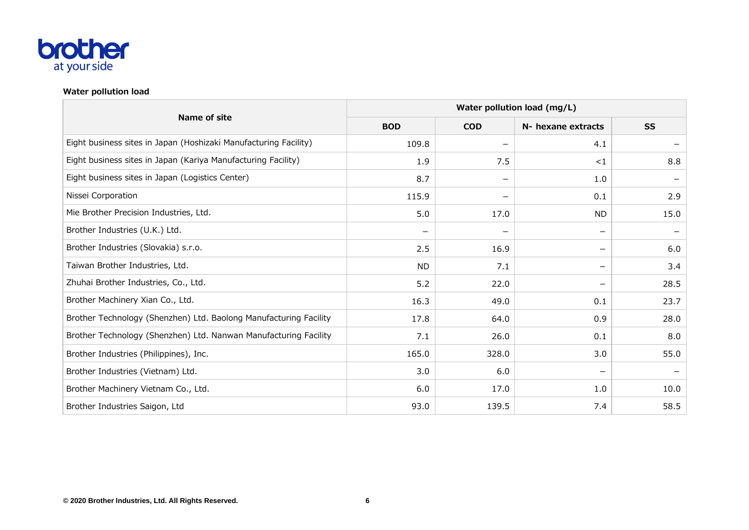

## **Water pollution load**

|                                                                   | Water pollution load (mg/L) |                 |                          |           |  |  |  |
|-------------------------------------------------------------------|-----------------------------|-----------------|--------------------------|-----------|--|--|--|
| Name of site                                                      | <b>BOD</b>                  | <b>COD</b>      | N- hexane extracts       | <b>SS</b> |  |  |  |
| Eight business sites in Japan (Hoshizaki Manufacturing Facility)  | 109.8                       |                 | 4.1                      |           |  |  |  |
| Eight business sites in Japan (Kariya Manufacturing Facility)     | 1.9                         | 7.5             | $<$ 1                    | 8.8       |  |  |  |
| Eight business sites in Japan (Logistics Center)                  | 8.7                         | $\qquad \qquad$ | 1.0                      |           |  |  |  |
| Nissei Corporation                                                | 115.9                       | —               | 0.1                      | 2.9       |  |  |  |
| Mie Brother Precision Industries, Ltd.                            | 5.0                         | 17.0            | <b>ND</b>                | 15.0      |  |  |  |
| Brother Industries (U.K.) Ltd.                                    | $\overline{\phantom{m}}$    |                 | $\overline{\phantom{m}}$ |           |  |  |  |
| Brother Industries (Slovakia) s.r.o.                              | 2.5                         | 16.9            | $\overline{\phantom{m}}$ | 6.0       |  |  |  |
| Taiwan Brother Industries, Ltd.                                   | ND.                         | 7.1             |                          | 3.4       |  |  |  |
| Zhuhai Brother Industries, Co., Ltd.                              | 5.2                         | 22.0            |                          | 28.5      |  |  |  |
| Brother Machinery Xian Co., Ltd.                                  | 16.3                        | 49.0            | 0.1                      | 23.7      |  |  |  |
| Brother Technology (Shenzhen) Ltd. Baolong Manufacturing Facility | 17.8                        | 64.0            | 0.9                      | 28.0      |  |  |  |
| Brother Technology (Shenzhen) Ltd. Nanwan Manufacturing Facility  | 7.1                         | 26.0            | 0.1                      | 8.0       |  |  |  |
| Brother Industries (Philippines), Inc.                            | 165.0                       | 328.0           | 3.0                      | 55.0      |  |  |  |
| Brother Industries (Vietnam) Ltd.                                 | 3.0                         | 6.0             |                          |           |  |  |  |
| Brother Machinery Vietnam Co., Ltd.                               | 6.0                         | 17.0            | 1.0                      | 10.0      |  |  |  |
| Brother Industries Saigon, Ltd                                    | 93.0                        | 139.5           | 7.4                      | 58.5      |  |  |  |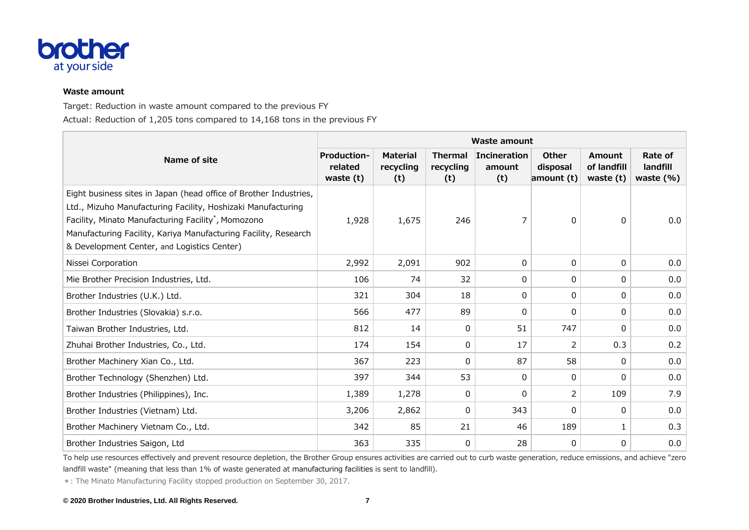

#### **Waste amount**

Target: Reduction in waste amount compared to the previous FY Actual: Reduction of 1,205 tons compared to 14,168 tons in the previous FY

|                                                                                                                                                                                                                                                                                                                        | <b>Waste amount</b>                          |                                     |                                    |                               |                                 |                                             |                                      |  |  |
|------------------------------------------------------------------------------------------------------------------------------------------------------------------------------------------------------------------------------------------------------------------------------------------------------------------------|----------------------------------------------|-------------------------------------|------------------------------------|-------------------------------|---------------------------------|---------------------------------------------|--------------------------------------|--|--|
| Name of site                                                                                                                                                                                                                                                                                                           | <b>Production-</b><br>related<br>waste $(t)$ | <b>Material</b><br>recycling<br>(t) | <b>Thermal</b><br>recycling<br>(t) | Incineration<br>amount<br>(t) | Other<br>disposal<br>amount (t) | <b>Amount</b><br>of landfill<br>waste $(t)$ | Rate of<br>landfill<br>waste $(\% )$ |  |  |
| Eight business sites in Japan (head office of Brother Industries,<br>Ltd., Mizuho Manufacturing Facility, Hoshizaki Manufacturing<br>Facility, Minato Manufacturing Facility <sup>*</sup> , Momozono<br>Manufacturing Facility, Kariya Manufacturing Facility, Research<br>& Development Center, and Logistics Center) | 1,928                                        | 1,675                               | 246                                | 7                             | 0                               | 0                                           | 0.0                                  |  |  |
| Nissei Corporation                                                                                                                                                                                                                                                                                                     | 2,992                                        | 2,091                               | 902                                | 0                             | 0                               | 0                                           | 0.0                                  |  |  |
| Mie Brother Precision Industries, Ltd.                                                                                                                                                                                                                                                                                 | 106                                          | 74                                  | 32                                 | 0                             | 0                               | 0                                           | 0.0                                  |  |  |
| Brother Industries (U.K.) Ltd.                                                                                                                                                                                                                                                                                         | 321                                          | 304                                 | 18                                 | 0                             | 0                               | 0                                           | 0.0                                  |  |  |
| Brother Industries (Slovakia) s.r.o.                                                                                                                                                                                                                                                                                   | 566                                          | 477                                 | 89                                 | 0                             | 0                               | 0                                           | 0.0                                  |  |  |
| Taiwan Brother Industries, Ltd.                                                                                                                                                                                                                                                                                        | 812                                          | 14                                  | 0                                  | 51                            | 747                             | 0                                           | 0.0                                  |  |  |
| Zhuhai Brother Industries, Co., Ltd.                                                                                                                                                                                                                                                                                   | 174                                          | 154                                 | 0                                  | 17                            | $\overline{2}$                  | 0.3                                         | 0.2                                  |  |  |
| Brother Machinery Xian Co., Ltd.                                                                                                                                                                                                                                                                                       | 367                                          | 223                                 | 0                                  | 87                            | 58                              | 0                                           | 0.0                                  |  |  |
| Brother Technology (Shenzhen) Ltd.                                                                                                                                                                                                                                                                                     | 397                                          | 344                                 | 53                                 | 0                             | 0                               | 0                                           | 0.0                                  |  |  |
| Brother Industries (Philippines), Inc.                                                                                                                                                                                                                                                                                 | 1,389                                        | 1,278                               | 0                                  | 0                             | 2                               | 109                                         | 7.9                                  |  |  |
| Brother Industries (Vietnam) Ltd.                                                                                                                                                                                                                                                                                      | 3,206                                        | 2,862                               | 0                                  | 343                           | 0                               | 0                                           | 0.0                                  |  |  |
| Brother Machinery Vietnam Co., Ltd.                                                                                                                                                                                                                                                                                    | 342                                          | 85                                  | 21                                 | 46                            | 189                             | 1                                           | 0.3                                  |  |  |
| Brother Industries Saigon, Ltd                                                                                                                                                                                                                                                                                         | 363                                          | 335                                 | 0                                  | 28                            | 0                               | 0                                           | 0.0                                  |  |  |

To help use resources effectively and prevent resource depletion, the Brother Group ensures activities are carried out to curb waste generation, reduce emissions, and achieve "zero landfill waste" (meaning that less than 1% of waste generated at manufacturing facilities is sent to landfill).